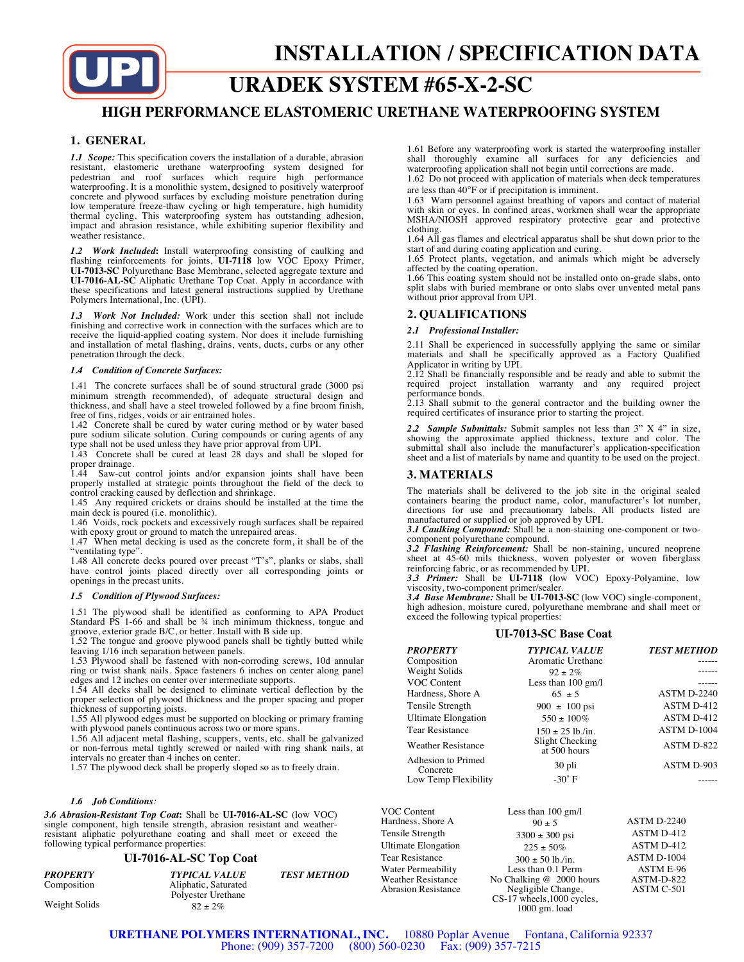

# **URADEK SYSTEM #65-X-2-SC**

## **HIGH PERFORMANCE ELASTOMERIC URETHANE WATERPROOFING SYSTEM**

## **1. GENERAL**

*1.1 Scope:* This specification covers the installation of a durable, abrasion resistant, elastomeric urethane waterproofing system designed for pedestrian and roof surfaces which require high performance waterproofing. It is a monolithic system, designed to positively waterproof concrete and plywood surfaces by excluding moisture penetration during low temperature freeze-thaw cycling or high temperature, high humidity thermal cycling. This waterproofing system has outstanding adhesion, impact and abrasion resistance, while exhibiting superior flexibility and weather resistance.

*1.2 Work Included***:** Install waterproofing consisting of caulking and flashing reinforcements for joints, **UI-7118** low VOC Epoxy Primer, **UI-7013-SC** Polyurethane Base Membrane, selected aggregate texture and **UI-7016-AL-SC** Aliphatic Urethane Top Coat. Apply in accordance with these specifications and latest general instructions supplied by Urethane Polymers International, Inc. (UPI).

*1.3 Work Not Included:* Work under this section shall not include finishing and corrective work in connection with the surfaces which are to receive the liquid-applied coating system. Nor does it include furnishing and installation of metal flashing, drains, vents, ducts, curbs or any other penetration through the deck.

#### *1.4 Condition of Concrete Surfaces:*

1.41 The concrete surfaces shall be of sound structural grade (3000 psi minimum strength recommended), of adequate structural design and thickness, and shall have a steel troweled followed by a fine broom finish, free of fins, ridges, voids or air entrained holes.

1.42 Concrete shall be cured by water curing method or by water based pure sodium silicate solution. Curing compounds or curing agents of any type shall not be used unless they have prior approval from UPI.

1.43 Concrete shall be cured at least 28 days and shall be sloped for proper drainage.

1.44 Saw-cut control joints and/or expansion joints shall have been properly installed at strategic points throughout the field of the deck to control cracking caused by deflection and shrinkage.

1.45 Any required crickets or drains should be installed at the time the main deck is poured (i.e. monolithic).

1.46 Voids, rock pockets and excessively rough surfaces shall be repaired with epoxy grout or ground to match the unrepaired areas.

1.47 When metal decking is used as the concrete form, it shall be of the "ventilating type".

1.48 All concrete decks poured over precast "T's", planks or slabs, shall have control joints placed directly over all corresponding joints or openings in the precast units.

#### *1.5 Condition of Plywood Surfaces:*

1.51 The plywood shall be identified as conforming to APA Product Standard PS 1-66 and shall be 34 inch minimum thickness, tongue and

groove, exterior grade B/C, or better. Install with B side up. 1.52 The tongue and groove plywood panels shall be tightly butted while leaving 1/16 inch separation between panels.

1.53 Plywood shall be fastened with non-corroding screws, 10d annular ring or twist shank nails. Space fasteners 6 inches on center along panel edges and 12 inches on center over intermediate supports.

1.54 All decks shall be designed to eliminate vertical deflection by the proper selection of plywood thickness and the proper spacing and proper thickness of supporting joists.

1.55 All plywood edges must be supported on blocking or primary framing with plywood panels continuous across two or more spans.

1.56 All adjacent metal flashing, scuppers, vents, etc. shall be galvanized or non-ferrous metal tightly screwed or nailed with ring shank nails, at intervals no greater than 4 inches on center.

1.57 The plywood deck shall be properly sloped so as to freely drain.

#### *1.6 Job Conditions:*

*3.6 Abrasion-Resistant Top Coat***:** Shall be **UI-7016-AL-SC** (low VOC) single component, high tensile strength, abrasion resistant and weather-resistant aliphatic polyurethane coating and shall meet or exceed the following typical performance properties:

#### **UI-7016-AL-SC Top Coat**

| PROPERTY      | <b>TYPICAL VALUE</b> | <b>TEST METHOD</b> |
|---------------|----------------------|--------------------|
| Composition   | Aliphatic, Saturated |                    |
|               | Polyester Urethane   |                    |
| Weight Solids | $82 + 2\%$           |                    |

1.61 Before any waterproofing work is started the waterproofing installer shall thoroughly examine all surfaces for any deficiencies and waterproofing application shall not begin until corrections are made.

1.62 Do not proceed with application of materials when deck temperatures are less than 40°F or if precipitation is imminent.

1.63 Warn personnel against breathing of vapors and contact of material with skin or eyes. In confined areas, workmen shall wear the appropriate MSHA/NIOSH approved respiratory protective gear and protective clothing.

1.64 All gas flames and electrical apparatus shall be shut down prior to the

start of and during coating application and curing. 1.65 Protect plants, vegetation, and animals which might be adversely affected by the coating operation.

1.66 This coating system should not be installed onto on-grade slabs, onto split slabs with buried membrane or onto slabs over unvented metal pans without prior approval from UPI.

### **2. QUALIFICATIONS**

*2.1 Professional Installer:*

2.11 Shall be experienced in successfully applying the same or similar materials and shall be specifically approved as a Factory Qualified

Applicator in writing by UPI. 2.12 Shall be financially responsible and be ready and able to submit the required project installation warranty and any required project

performance bonds. 2.13 Shall submit to the general contractor and the building owner the required certificates of insurance prior to starting the project.

*2.2**Sample Submittals:* Submit samples not less than 3" X 4" in size, showing the approximate applied thickness, texture and color. The submittal shall also include the manufacturer's application-specification sheet and a list of materials by name and quantity to be used on the project.

#### **3. MATERIALS**

The materials shall be delivered to the job site in the original sealed containers bearing the product name, color, manufacturer's lot number, directions for use and precautionary labels. All products listed are manufactured or supplied or job approved by UPI. *3.1 Caulking Compound:* Shall be a non-staining one-component or two-

component polyurethane compound. *3.2 Flashing Reinforcement:* Shall be non-staining, uncured neoprene

sheet at 45-60 mils thickness, woven polyester or woven fiberglass

reinforcing fabric, or as recommended by UPI. *3.3 Primer:* Shall be **UI-7118** (low VOC) Epoxy-Polyamine, low viscosity, two-component primer/sealer.

*3.4 Base Membrane:* Shall be **UI-7013-SC** (low VOC) single-component, high adhesion, moisture cured, polyurethane membrane and shall meet or exceed the following typical properties:

#### **UI-7013-SC Base Coat**

| <b>PROPERTY</b>                | <b>TYPICAL VALUE</b>            | <b>TEST METHOD</b> |
|--------------------------------|---------------------------------|--------------------|
| Composition                    | Aromatic Urethane               |                    |
| Weight Solids                  | $92 \pm 2\%$                    |                    |
| VOC Content                    | Less than $100 \text{ gm/l}$    |                    |
| Hardness, Shore A              | $65 + 5$                        | <b>ASTM D-2240</b> |
| Tensile Strength               | $900 \pm 100 \,\text{psi}$      | ASTM D-412         |
| <b>Ultimate Elongation</b>     | $550 \pm 100\%$                 | ASTM D-412         |
| <b>Tear Resistance</b>         | $150 \pm 25$ lb./in.            | ASTM D-1004        |
| <b>Weather Resistance</b>      | Slight Checking<br>at 500 hours | ASTM D-822         |
| Adhesion to Primed<br>Concrete | 30 pli                          | ASTM D-903         |
| Low Temp Flexibility           | $-30^\circ$ F                   |                    |

| VOC Content<br>Hardness, Shore A | Less than $100 \text{ gm/l}$<br>$90 \pm 5$ | ASTM D-2240      |
|----------------------------------|--------------------------------------------|------------------|
| Tensile Strength                 | $3300 \pm 300$ psi                         | ASTM D-412       |
| <b>Ultimate Elongation</b>       | $225 \pm 50\%$                             | ASTM D-412       |
| <b>Tear Resistance</b>           | $300 \pm 50$ lb./in.                       | ASTM D-1004      |
| Water Permeability               | Less than 0.1 Perm                         | <b>ASTM E-96</b> |
| Weather Resistance               | No Chalking @ 2000 hours                   | ASTM-D-822       |
| <b>Abrasion Resistance</b>       | Negligible Change,                         | ASTM C-501       |
|                                  | CS-17 wheels, 1000 cycles,                 |                  |
|                                  | $1000$ gm. load                            |                  |

**URETHANE POLYMERS INTERNATIONAL, INC.** 10880 Poplar Avenue Fontana, California 92337 Phone: (909) 357-7200 (800) 560-0230 Fax: (909) 357-7215